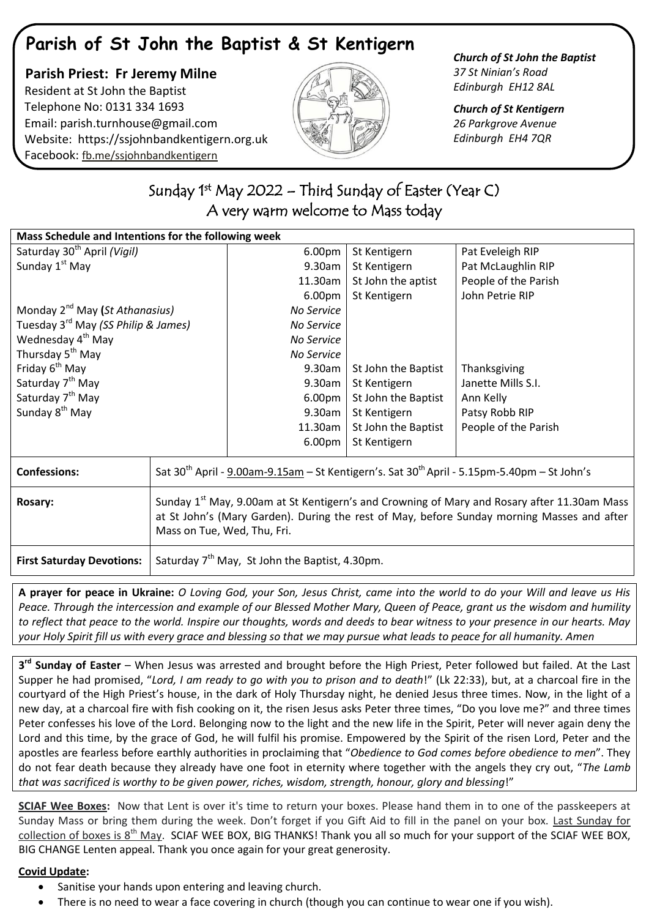# **Parish of St John the Baptist & St Kentigern**

## **Parish Priest: Fr Jeremy Milne** Resident at St John the Baptist Telephone No: 0131 334 1693 Email: [parish.turnhouse@gmail.com](mailto:parish.turnhouse@gmail.com)  Website: [https://ssjohnbandkentigern.org.uk](https://ssjohnbandkentigern.org.uk/) Facebook: [fb.me/ssjohnbandkentigern](https://fb.me/ssjohnbandkentigern)



### *Church of St John the Baptist 37 St Ninian's Road Edinburgh EH12 8AL*

*Church of St Kentigern 26 Parkgrove Avenue Edinburgh EH4 7QR*

# ٦ Sunday 1<sup>st</sup> May 2022 – Third Sunday of Easter (Year C) A very warm welcome to Mass today

֬

| Mass Schedule and Intentions for the following week |                                                                                                                                                                                                                                      |            |                     |                      |
|-----------------------------------------------------|--------------------------------------------------------------------------------------------------------------------------------------------------------------------------------------------------------------------------------------|------------|---------------------|----------------------|
| Saturday 30 <sup>th</sup> April (Vigil)             |                                                                                                                                                                                                                                      | 6.00pm     | St Kentigern        | Pat Eveleigh RIP     |
| Sunday 1 <sup>st</sup> May                          |                                                                                                                                                                                                                                      | 9.30am     | St Kentigern        | Pat McLaughlin RIP   |
|                                                     |                                                                                                                                                                                                                                      | 11.30am    | St John the aptist  | People of the Parish |
|                                                     |                                                                                                                                                                                                                                      | 6.00pm     | St Kentigern        | John Petrie RIP      |
| Monday 2 <sup>nd</sup> May (St Athanasius)          |                                                                                                                                                                                                                                      | No Service |                     |                      |
| Tuesday 3 <sup>rd</sup> May (SS Philip & James)     |                                                                                                                                                                                                                                      | No Service |                     |                      |
| Wednesday 4 <sup>th</sup> May                       |                                                                                                                                                                                                                                      | No Service |                     |                      |
| Thursday 5 <sup>th</sup> May                        |                                                                                                                                                                                                                                      | No Service |                     |                      |
| Friday 6 <sup>th</sup> May                          |                                                                                                                                                                                                                                      | 9.30am     | St John the Baptist | Thanksgiving         |
| Saturday 7 <sup>th</sup> May                        |                                                                                                                                                                                                                                      | 9.30am     | St Kentigern        | Janette Mills S.I.   |
| Saturday 7 <sup>th</sup> May                        |                                                                                                                                                                                                                                      | 6.00pm     | St John the Baptist | Ann Kelly            |
| Sunday 8 <sup>th</sup> May                          |                                                                                                                                                                                                                                      | 9.30am     | St Kentigern        | Patsy Robb RIP       |
|                                                     |                                                                                                                                                                                                                                      | 11.30am    | St John the Baptist | People of the Parish |
|                                                     |                                                                                                                                                                                                                                      | 6.00pm     | St Kentigern        |                      |
| <b>Confessions:</b>                                 | Sat $30^{th}$ April - 9.00am-9.15am – St Kentigern's. Sat $30^{th}$ April - 5.15pm-5.40pm – St John's                                                                                                                                |            |                     |                      |
| Rosary:                                             | Sunday 1 <sup>st</sup> May, 9.00am at St Kentigern's and Crowning of Mary and Rosary after 11.30am Mass<br>at St John's (Mary Garden). During the rest of May, before Sunday morning Masses and after<br>Mass on Tue, Wed, Thu, Fri. |            |                     |                      |
| <b>First Saturday Devotions:</b>                    | Saturday 7 <sup>th</sup> May, St John the Baptist, 4.30pm.                                                                                                                                                                           |            |                     |                      |

**A prayer for peace in Ukraine:** *O Loving God, your Son, Jesus Christ, came into the world to do your Will and leave us His Peace. Through the intercession and example of our Blessed Mother Mary, Queen of Peace, grant us the wisdom and humility to reflect that peace to the world. Inspire our thoughts, words and deeds to bear witness to your presence in our hearts. May your Holy Spirit fill us with every grace and blessing so that we may pursue what leads to peace for all humanity. Amen*

**3 rd Sunday of Easter** – When Jesus was arrested and brought before the High Priest, Peter followed but failed. At the Last Supper he had promised, "*Lord, I am ready to go with you to prison and to death*!" (Lk 22:33), but, at a charcoal fire in the courtyard of the High Priest's house, in the dark of Holy Thursday night, he denied Jesus three times. Now, in the light of a new day, at a charcoal fire with fish cooking on it, the risen Jesus asks Peter three times, "Do you love me?" and three times Peter confesses his love of the Lord. Belonging now to the light and the new life in the Spirit, Peter will never again deny the Lord and this time, by the grace of God, he will fulfil his promise. Empowered by the Spirit of the risen Lord, Peter and the apostles are fearless before earthly authorities in proclaiming that "*Obedience to God comes before obedience to men*". They do not fear death because they already have one foot in eternity where together with the angels they cry out, "*The Lamb that was sacrificed is worthy to be given power, riches, wisdom, strength, honour, glory and blessing*!"

**SCIAF Wee Boxes:** Now that Lent is over it's time to return your boxes. Please hand them in to one of the passkeepers at Sunday Mass or bring them during the week. Don't forget if you Gift Aid to fill in the panel on your box. Last Sunday for collection of boxes is  $8<sup>th</sup>$  May. SCIAF WEE BOX, BIG THANKS! Thank you all so much for your support of the SCIAF WEE BOX, BIG CHANGE Lenten appeal. Thank you once again for your great generosity.

### **Covid Update:**

- Sanitise your hands upon entering and leaving church.
- There is no need to wear a face covering in church (though you can continue to wear one if you wish).